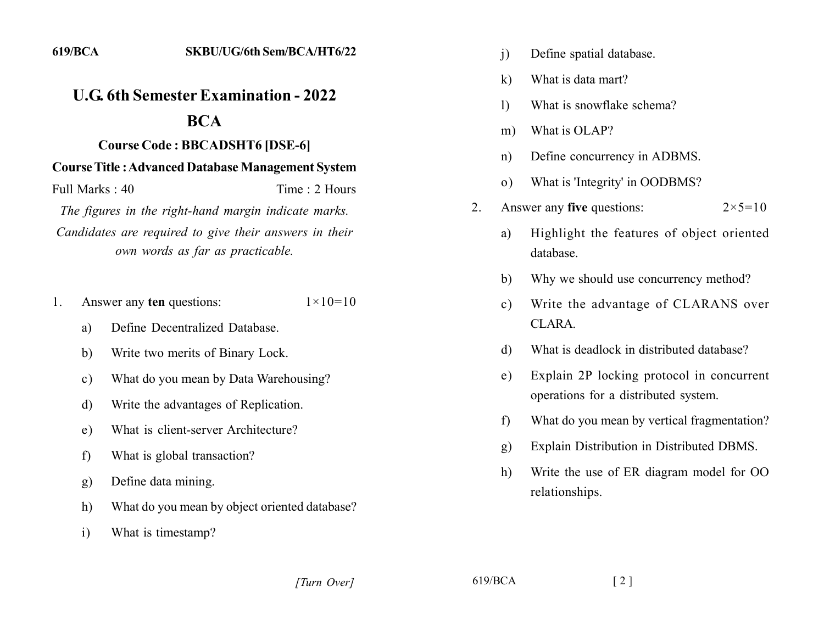## *<u>U.G. 6th Semester Examination - 2022</u>* **222**

## **22]222222]22]22222]22222]]2222]**

## **22 Course Title : Advanced Database Management System**

Full Marks: 40 Time: 2 Hours

The figures in the right-hand margin indicate marks. Candidates are required to give their answers in their *own words as far as practicable.* 

- 1. Answer any **ten** questions:  $1 \times 10 = 10$ 
	- a) Define Decentralized Database.
	- b. Write two merits of Binary Lock.
	- c) What do you mean by Data Warehousing?
	- d. Write the advantages of Replication.
	- e) What is client-server Architecture?
	- f) What is global transaction?
	- g) Define data mining.
	- h) What do you mean by object oriented database?
	- i) What is timestamp?
- i) Define spatial database.
- $k$ ) What is data mart?
- 1) What is snowflake schema?
- m) What is OLAP?
- n) Define concurrency in ADBMS.
- o) What is 'Integrity' in OODBMS?
- 2. Answer any **five** questions:  $2 \times 5 = 10$ 
	- a) Highlight the features of object oriented database.
	- b) Why we should use concurrency method?
	- c) Write the advantage of CLARANS over  $CI<sub>A</sub>RA$
	- d. What is deadlock in distributed database?
	- e) Explain 2P locking protocol in concurrent operations for a distributed system.
	- f) What do you mean by vertical fragmentation?
	- g. Explain Distribution in Distributed DBMS.
	- h) Write the use of ER diagram model for OO relationships.